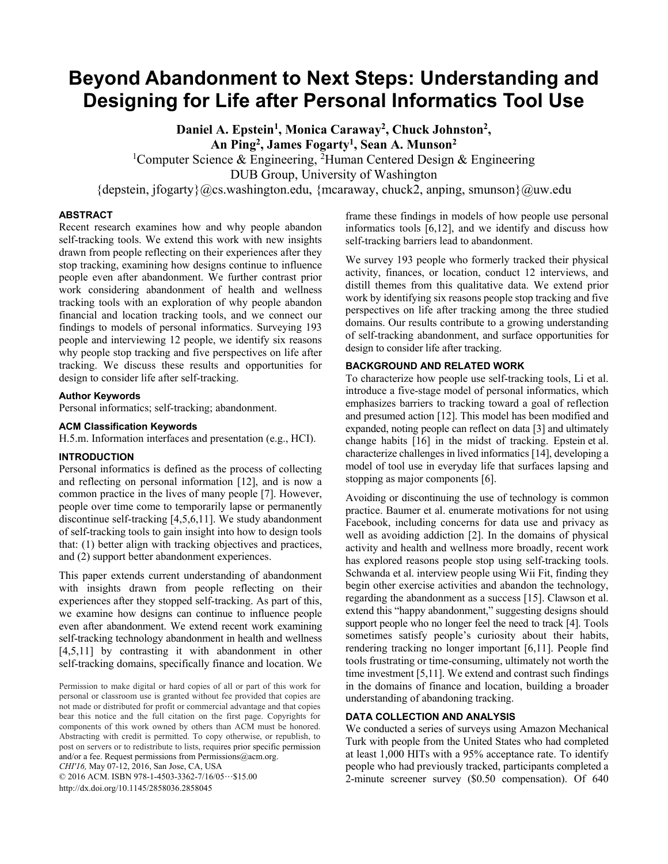# **Beyond Abandonment to Next Steps: Understanding and Designing for Life after Personal Informatics Tool Use**

Daniel A. Epstein<sup>1</sup>, Monica Caraway<sup>2</sup>, Chuck Johnston<sup>2</sup>, **An Ping2 , James Fogarty1 , Sean A. Munson2** <sup>1</sup>Computer Science & Engineering, <sup>2</sup>Human Centered Design & Engineering

DUB Group, University of Washington

 ${\lbrace \text{depositen}, \text{if} \text{logarty} \rbrace}$  ( $Qcs.$ washington.edu,  ${\lbrace \text{mcaraway}, \text{chuck2}, \text{anping}, \text{smunson} \rbrace}$  ( $Quw.$ edu

#### **ABSTRACT**

Recent research examines how and why people abandon self-tracking tools. We extend this work with new insights drawn from people reflecting on their experiences after they stop tracking, examining how designs continue to influence people even after abandonment. We further contrast prior work considering abandonment of health and wellness tracking tools with an exploration of why people abandon financial and location tracking tools, and we connect our findings to models of personal informatics. Surveying 193 people and interviewing 12 people, we identify six reasons why people stop tracking and five perspectives on life after tracking. We discuss these results and opportunities for design to consider life after self-tracking.

## **Author Keywords**

Personal informatics; self-tracking; abandonment.

#### **ACM Classification Keywords**

H.5.m. Information interfaces and presentation (e.g., HCI).

# **INTRODUCTION**

Personal informatics is defined as the process of collecting and reflecting on personal information [12], and is now a common practice in the lives of many people [7]. However, people over time come to temporarily lapse or permanently discontinue self-tracking [4,5,6,11]. We study abandonment of self-tracking tools to gain insight into how to design tools that: (1) better align with tracking objectives and practices, and (2) support better abandonment experiences.

This paper extends current understanding of abandonment with insights drawn from people reflecting on their experiences after they stopped self-tracking. As part of this, we examine how designs can continue to influence people even after abandonment. We extend recent work examining self-tracking technology abandonment in health and wellness [4,5,11] by contrasting it with abandonment in other self-tracking domains, specifically finance and location. We

Permission to make digital or hard copies of all or part of this work for personal or classroom use is granted without fee provided that copies are not made or distributed for profit or commercial advantage and that copies bear this notice and the full citation on the first page. Copyrights for components of this work owned by others than ACM must be honored. Abstracting with credit is permitted. To copy otherwise, or republish, to post on servers or to redistribute to lists, requires prior specific permission and/or a fee. Request permissions from Permissions@acm.org. *CHI'16,* May 07-12, 2016, San Jose, CA, USA © 2016 ACM. ISBN 978-1-4503-3362-7/16/05…\$15.00

http://dx.doi.org/10.1145/2858036.2858045

frame these findings in models of how people use personal informatics tools [6,12], and we identify and discuss how self-tracking barriers lead to abandonment.

We survey 193 people who formerly tracked their physical activity, finances, or location, conduct 12 interviews, and distill themes from this qualitative data. We extend prior work by identifying six reasons people stop tracking and five perspectives on life after tracking among the three studied domains. Our results contribute to a growing understanding of self-tracking abandonment, and surface opportunities for design to consider life after tracking.

## **BACKGROUND AND RELATED WORK**

To characterize how people use self-tracking tools, Li et al. introduce a five-stage model of personal informatics, which emphasizes barriers to tracking toward a goal of reflection and presumed action [12]. This model has been modified and expanded, noting people can reflect on data [3] and ultimately change habits [16] in the midst of tracking. Epstein et al. characterize challenges in lived informatics [14], developing a model of tool use in everyday life that surfaces lapsing and stopping as major components [6].

Avoiding or discontinuing the use of technology is common practice. Baumer et al. enumerate motivations for not using Facebook, including concerns for data use and privacy as well as avoiding addiction [2]. In the domains of physical activity and health and wellness more broadly, recent work has explored reasons people stop using self-tracking tools. Schwanda et al. interview people using Wii Fit, finding they begin other exercise activities and abandon the technology, regarding the abandonment as a success [15]. Clawson et al. extend this "happy abandonment," suggesting designs should support people who no longer feel the need to track [4]. Tools sometimes satisfy people's curiosity about their habits, rendering tracking no longer important [6,11]. People find tools frustrating or time-consuming, ultimately not worth the time investment [5,11]. We extend and contrast such findings in the domains of finance and location, building a broader understanding of abandoning tracking.

# **DATA COLLECTION AND ANALYSIS**

We conducted a series of surveys using Amazon Mechanical Turk with people from the United States who had completed at least 1,000 HITs with a 95% acceptance rate. To identify people who had previously tracked, participants completed a 2-minute screener survey (\$0.50 compensation). Of 640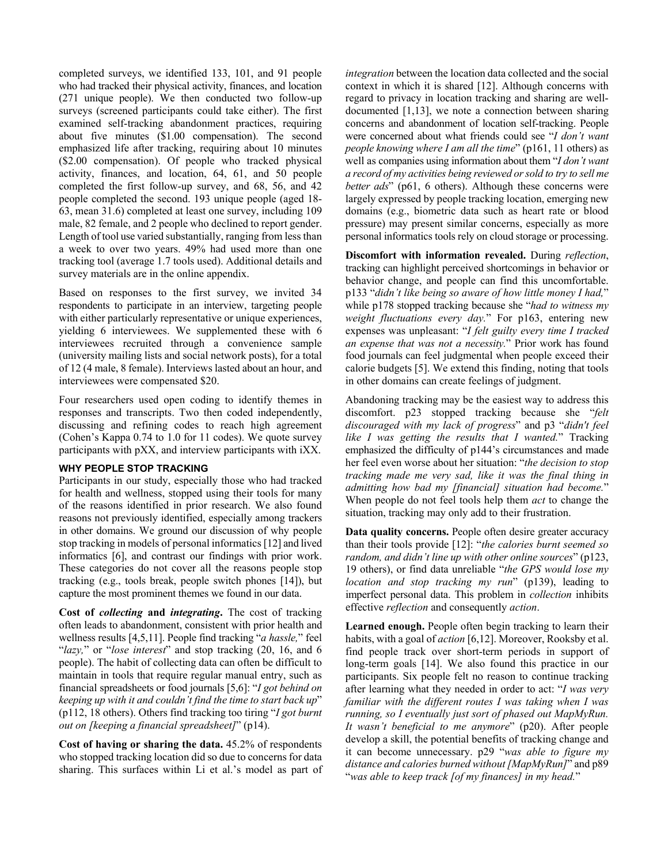completed surveys, we identified 133, 101, and 91 people who had tracked their physical activity, finances, and location (271 unique people). We then conducted two follow-up surveys (screened participants could take either). The first examined self-tracking abandonment practices, requiring about five minutes (\$1.00 compensation). The second emphasized life after tracking, requiring about 10 minutes (\$2.00 compensation). Of people who tracked physical activity, finances, and location, 64, 61, and 50 people completed the first follow-up survey, and 68, 56, and 42 people completed the second. 193 unique people (aged 18- 63, mean 31.6) completed at least one survey, including 109 male, 82 female, and 2 people who declined to report gender. Length of tool use varied substantially, ranging from less than a week to over two years. 49% had used more than one tracking tool (average 1.7 tools used). Additional details and survey materials are in the online appendix.

Based on responses to the first survey, we invited 34 respondents to participate in an interview, targeting people with either particularly representative or unique experiences, yielding 6 interviewees. We supplemented these with 6 interviewees recruited through a convenience sample (university mailing lists and social network posts), for a total of 12 (4 male, 8 female). Interviews lasted about an hour, and interviewees were compensated \$20.

Four researchers used open coding to identify themes in responses and transcripts. Two then coded independently, discussing and refining codes to reach high agreement (Cohen's Kappa 0.74 to 1.0 for 11 codes). We quote survey participants with pXX, and interview participants with iXX.

#### **WHY PEOPLE STOP TRACKING**

Participants in our study, especially those who had tracked for health and wellness, stopped using their tools for many of the reasons identified in prior research. We also found reasons not previously identified, especially among trackers in other domains. We ground our discussion of why people stop tracking in models of personal informatics [12] and lived informatics [6], and contrast our findings with prior work. These categories do not cover all the reasons people stop tracking (e.g., tools break, people switch phones [14]), but capture the most prominent themes we found in our data.

**Cost of** *collecting* **and** *integrating***.** The cost of tracking often leads to abandonment, consistent with prior health and wellness results [4,5,11]. People find tracking "*a hassle,*" feel "*lazy,*" or "*lose interest*" and stop tracking (20, 16, and 6 people). The habit of collecting data can often be difficult to maintain in tools that require regular manual entry, such as financial spreadsheets or food journals [5,6]: "*I got behind on keeping up with it and couldn't find the time to start back up*" (p112, 18 others). Others find tracking too tiring "*I got burnt out on [keeping a financial spreadsheet]*" (p14).

**Cost of having or sharing the data.** 45.2% of respondents who stopped tracking location did so due to concerns for data sharing. This surfaces within Li et al.'s model as part of *integration* between the location data collected and the social context in which it is shared [12]. Although concerns with regard to privacy in location tracking and sharing are welldocumented [1,13], we note a connection between sharing concerns and abandonment of location self-tracking. People were concerned about what friends could see "*I don't want people knowing where I am all the time*" (p161, 11 others) as well as companies using information about them "*I don't want a record of my activities being reviewed or sold to try to sell me better ads*" (p61, 6 others). Although these concerns were largely expressed by people tracking location, emerging new domains (e.g., biometric data such as heart rate or blood pressure) may present similar concerns, especially as more personal informatics tools rely on cloud storage or processing.

**Discomfort with information revealed.** During *reflection*, tracking can highlight perceived shortcomings in behavior or behavior change, and people can find this uncomfortable. p133 "*didn't like being so aware of how little money I had,*" while p178 stopped tracking because she "*had to witness my weight fluctuations every day.*" For p163, entering new expenses was unpleasant: "*I felt guilty every time I tracked an expense that was not a necessity.*" Prior work has found food journals can feel judgmental when people exceed their calorie budgets [5]. We extend this finding, noting that tools in other domains can create feelings of judgment.

Abandoning tracking may be the easiest way to address this discomfort. p23 stopped tracking because she "*felt discouraged with my lack of progress*" and p3 "*didn't feel like I was getting the results that I wanted.*" Tracking emphasized the difficulty of p144's circumstances and made her feel even worse about her situation: "*the decision to stop tracking made me very sad, like it was the final thing in admitting how bad my [financial] situation had become.*" When people do not feel tools help them *act* to change the situation, tracking may only add to their frustration.

**Data quality concerns.** People often desire greater accuracy than their tools provide [12]: "*the calories burnt seemed so random, and didn't line up with other online sources*" (p123, 19 others), or find data unreliable "*the GPS would lose my location and stop tracking my run*" (p139), leading to imperfect personal data. This problem in *collection* inhibits effective *reflection* and consequently *action*.

**Learned enough.** People often begin tracking to learn their habits, with a goal of *action* [6,12]. Moreover, Rooksby et al. find people track over short-term periods in support of long-term goals [14]. We also found this practice in our participants. Six people felt no reason to continue tracking after learning what they needed in order to act: "*I was very familiar with the different routes I was taking when I was running, so I eventually just sort of phased out MapMyRun. It wasn't beneficial to me anymore*" (p20). After people develop a skill, the potential benefits of tracking change and it can become unnecessary. p29 "*was able to figure my distance and calories burned without [MapMyRun]*" and p89 "*was able to keep track [of my finances] in my head.*"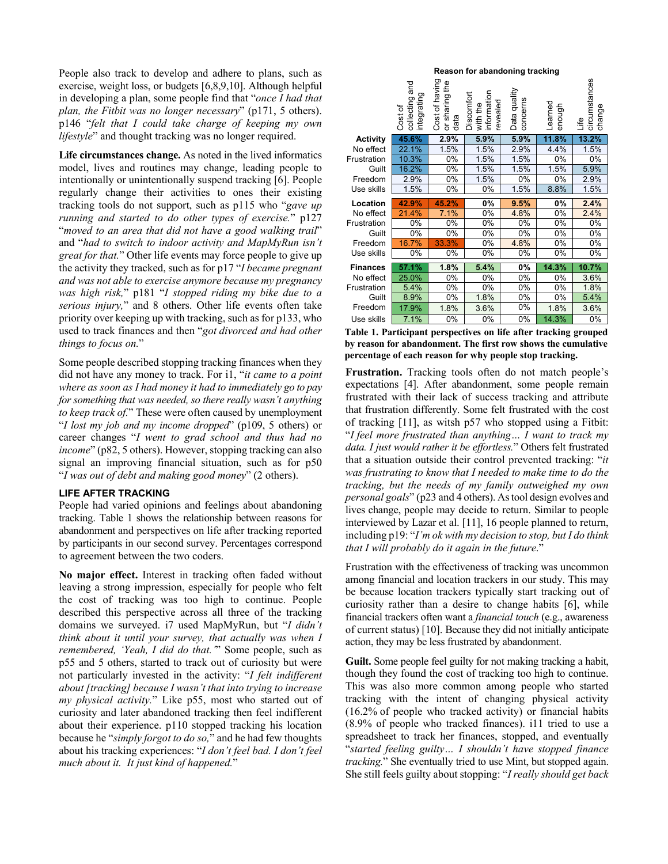People also track to develop and adhere to plans, such as exercise, weight loss, or budgets [6,8,9,10]. Although helpful in developing a plan, some people find that "*once I had that plan, the Fitbit was no longer necessary*" (p171, 5 others). p146 "*felt that I could take charge of keeping my own lifestyle*" and thought tracking was no longer required.

**Life circumstances change.** As noted in the lived informatics model, lives and routines may change, leading people to intentionally or unintentionally suspend tracking [6]. People regularly change their activities to ones their existing tracking tools do not support, such as p115 who "*gave up running and started to do other types of exercise.*" p127 "*moved to an area that did not have a good walking trail*" and "*had to switch to indoor activity and MapMyRun isn't great for that.*" Other life events may force people to give up the activity they tracked, such as for p17 "*I became pregnant and was not able to exercise anymore because my pregnancy was high risk,*" p181 "*I stopped riding my bike due to a serious injury,*" and 8 others. Other life events often take priority over keeping up with tracking, such as for p133, who used to track finances and then "*got divorced and had other things to focus on.*"

Some people described stopping tracking finances when they did not have any money to track. For i1, "*it came to a point where as soon as I had money it had to immediately go to pay for something that was needed, so there really wasn't anything to keep track of.*" These were often caused by unemployment "*I lost my job and my income dropped*" (p109, 5 others) or career changes "*I went to grad school and thus had no income*" (p82, 5 others). However, stopping tracking can also signal an improving financial situation, such as for p50 "*I was out of debt and making good money*" (2 others).

#### **LIFE AFTER TRACKING**

People had varied opinions and feelings about abandoning tracking. Table 1 shows the relationship between reasons for abandonment and perspectives on life after tracking reported by participants in our second survey. Percentages correspond to agreement between the two coders.

**No major effect.** Interest in tracking often faded without leaving a strong impression, especially for people who felt the cost of tracking was too high to continue. People described this perspective across all three of the tracking domains we surveyed. i7 used MapMyRun, but "*I didn't think about it until your survey, that actually was when I remembered, 'Yeah, I did do that.'*" Some people, such as p55 and 5 others, started to track out of curiosity but were not particularly invested in the activity: "*I felt indifferent about [tracking] because I wasn't that into trying to increase my physical activity.*" Like p55, most who started out of curiosity and later abandoned tracking then feel indifferent about their experience. p110 stopped tracking his location because he "*simply forgot to do so,*" and he had few thoughts about his tracking experiences: "*I don't feel bad. I don't feel much about it. It just kind of happened.*"

|                 |                                             |                                             | Reason for abandoning tracking                    |                          |                   |                               |
|-----------------|---------------------------------------------|---------------------------------------------|---------------------------------------------------|--------------------------|-------------------|-------------------------------|
|                 | and<br>integrating<br>collecting<br>Cost of | Cost of having<br>the<br>or sharing<br>data | information<br>Discomfort<br>revealed<br>with the | Data quality<br>concerns | Learned<br>enough | circumstances<br>change<br>٩i |
| Activity        | 45.6%                                       | 2.9%                                        | 5.9%                                              | 5.9%                     | 11.8%             | 13.2%                         |
| No effect       | 22.1%                                       | 1.5%                                        | 1.5%                                              | 2.9%                     | 4.4%              | 1.5%                          |
| Frustration     | 10.3%                                       | 0%                                          | 1.5%                                              | 1.5%                     | 0%                | 0%                            |
| Guilt           | 16.2%                                       | 0%                                          | 1.5%                                              | 1.5%                     | 1.5%              | 5.9%                          |
| Freedom         | 2.9%                                        | 0%                                          | 1.5%                                              | 0%                       | 0%                | 2.9%                          |
| Use skills      | 1.5%                                        | 0%                                          | 0%                                                | 1.5%                     | 8.8%              | 1.5%                          |
| Location        | 42.9%                                       |                                             |                                                   |                          |                   |                               |
|                 |                                             | 45.2%                                       | 0%                                                | 9.5%                     | 0%                | 2.4%                          |
| No effect       | 21.4%                                       | 7.1%                                        | 0%                                                | 4.8%                     | 0%                | 2.4%                          |
| Frustration     | 0%                                          | 0%                                          | 0%                                                | 0%                       | 0%                | 0%                            |
| Guilt           | 0%                                          | 0%                                          | 0%                                                | 0%                       | 0%                | 0%                            |
| Freedom         | 16.7%                                       | 33.3%                                       | 0%                                                | 4.8%                     | 0%                | 0%                            |
| Use skills      | 0%                                          | 0%                                          | 0%                                                | 0%                       | 0%                | 0%                            |
| <b>Finances</b> | 57.1%                                       | 1.8%                                        | 5.4%                                              | 0%                       | 14.3%             | 10.7%                         |
| No effect       | 25.0%                                       | 0%                                          | 0%                                                | 0%                       | 0%                | 3.6%                          |
| Frustration     | 5.4%                                        | 0%                                          | 0%                                                | 0%                       | 0%                | 1.8%                          |
| Guilt           | 8.9%                                        | 0%                                          | 1.8%                                              | 0%                       | 0%                | 5.4%                          |
| Freedom         | 17.9%                                       | 1.8%                                        | 3.6%                                              | 0%                       | 1.8%              | 3.6%                          |

**Table 1. Participant perspectives on life after tracking grouped by reason for abandonment. The first row shows the cumulative percentage of each reason for why people stop tracking.** 

**Frustration.** Tracking tools often do not match people's expectations [4]. After abandonment, some people remain frustrated with their lack of success tracking and attribute that frustration differently. Some felt frustrated with the cost of tracking [11], as witsh p57 who stopped using a Fitbit: "*I feel more frustrated than anything… I want to track my data. I just would rather it be effortless.*" Others felt frustrated that a situation outside their control prevented tracking: "*it was frustrating to know that I needed to make time to do the tracking, but the needs of my family outweighed my own personal goals*" (p23 and 4 others). As tool design evolves and lives change, people may decide to return. Similar to people interviewed by Lazar et al. [11], 16 people planned to return, including p19: "*I'm ok with my decision to stop, but I do think that I will probably do it again in the future*."

Frustration with the effectiveness of tracking was uncommon among financial and location trackers in our study. This may be because location trackers typically start tracking out of curiosity rather than a desire to change habits [6], while financial trackers often want a *financial touch* (e.g., awareness of current status) [10]. Because they did not initially anticipate action, they may be less frustrated by abandonment.

**Guilt.** Some people feel guilty for not making tracking a habit, though they found the cost of tracking too high to continue. This was also more common among people who started tracking with the intent of changing physical activity (16.2% of people who tracked activity) or financial habits (8.9% of people who tracked finances). i11 tried to use a spreadsheet to track her finances, stopped, and eventually "*started feeling guilty… I shouldn't have stopped finance tracking.*" She eventually tried to use Mint, but stopped again. She still feels guilty about stopping: "*I really should get back*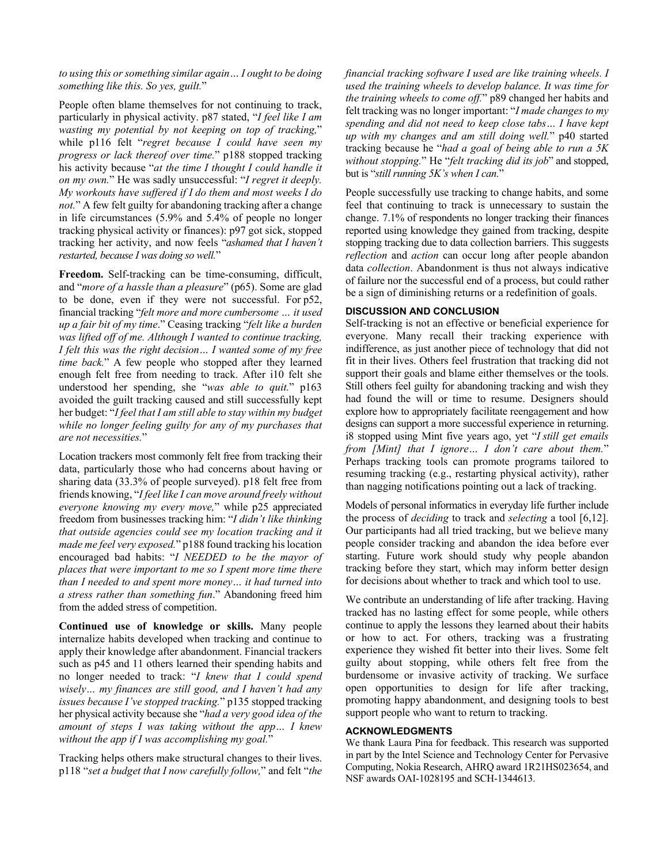#### *to using this or something similar again… I ought to be doing something like this. So yes, guilt.*"

People often blame themselves for not continuing to track, particularly in physical activity. p87 stated, "*I feel like I am wasting my potential by not keeping on top of tracking,*" while p116 felt "*regret because I could have seen my progress or lack thereof over time.*" p188 stopped tracking his activity because "*at the time I thought I could handle it on my own.*" He was sadly unsuccessful: "*I regret it deeply. My workouts have suffered if I do them and most weeks I do not.*" A few felt guilty for abandoning tracking after a change in life circumstances (5.9% and 5.4% of people no longer tracking physical activity or finances): p97 got sick, stopped tracking her activity, and now feels "*ashamed that I haven't restarted, because I was doing so well.*"

**Freedom.** Self-tracking can be time-consuming, difficult, and "*more of a hassle than a pleasure*" (p65). Some are glad to be done, even if they were not successful. For p52, financial tracking "*felt more and more cumbersome … it used up a fair bit of my time*." Ceasing tracking "*felt like a burden was lifted off of me. Although I wanted to continue tracking, I felt this was the right decision… I wanted some of my free time back.*" A few people who stopped after they learned enough felt free from needing to track. After i10 felt she understood her spending, she "*was able to quit.*" p163 avoided the guilt tracking caused and still successfully kept her budget: "*I feel that I am still able to stay within my budget while no longer feeling guilty for any of my purchases that are not necessities.*"

Location trackers most commonly felt free from tracking their data, particularly those who had concerns about having or sharing data (33.3% of people surveyed). p18 felt free from friends knowing, "*I feel like I can move around freely without everyone knowing my every move,*" while p25 appreciated freedom from businesses tracking him: "*I didn't like thinking that outside agencies could see my location tracking and it made me feel very exposed.*" p188 found tracking his location encouraged bad habits: "*I NEEDED to be the mayor of places that were important to me so I spent more time there than I needed to and spent more money… it had turned into a stress rather than something fun*." Abandoning freed him from the added stress of competition.

**Continued use of knowledge or skills.** Many people internalize habits developed when tracking and continue to apply their knowledge after abandonment. Financial trackers such as p45 and 11 others learned their spending habits and no longer needed to track: "*I knew that I could spend wisely… my finances are still good, and I haven't had any issues because I've stopped tracking.*" p135 stopped tracking her physical activity because she "*had a very good idea of the amount of steps I was taking without the app… I knew without the app if I was accomplishing my goal.*"

Tracking helps others make structural changes to their lives. p118 "*set a budget that I now carefully follow,*" and felt "*the*  *financial tracking software I used are like training wheels. I used the training wheels to develop balance. It was time for the training wheels to come off.*" p89 changed her habits and felt tracking was no longer important: "*I made changes to my spending and did not need to keep close tabs… I have kept up with my changes and am still doing well.*" p40 started tracking because he "*had a goal of being able to run a 5K without stopping.*" He "*felt tracking did its job*" and stopped, but is "*still running 5K's when I can.*"

People successfully use tracking to change habits, and some feel that continuing to track is unnecessary to sustain the change. 7.1% of respondents no longer tracking their finances reported using knowledge they gained from tracking, despite stopping tracking due to data collection barriers. This suggests *reflection* and *action* can occur long after people abandon data *collection*. Abandonment is thus not always indicative of failure nor the successful end of a process, but could rather be a sign of diminishing returns or a redefinition of goals.

#### **DISCUSSION AND CONCLUSION**

Self-tracking is not an effective or beneficial experience for everyone. Many recall their tracking experience with indifference, as just another piece of technology that did not fit in their lives. Others feel frustration that tracking did not support their goals and blame either themselves or the tools. Still others feel guilty for abandoning tracking and wish they had found the will or time to resume. Designers should explore how to appropriately facilitate reengagement and how designs can support a more successful experience in returning. i8 stopped using Mint five years ago, yet "*I still get emails from [Mint] that I ignore… I don't care about them.*" Perhaps tracking tools can promote programs tailored to resuming tracking (e.g., restarting physical activity), rather than nagging notifications pointing out a lack of tracking.

Models of personal informatics in everyday life further include the process of *deciding* to track and *selecting* a tool [6,12]. Our participants had all tried tracking, but we believe many people consider tracking and abandon the idea before ever starting. Future work should study why people abandon tracking before they start, which may inform better design for decisions about whether to track and which tool to use.

We contribute an understanding of life after tracking. Having tracked has no lasting effect for some people, while others continue to apply the lessons they learned about their habits or how to act. For others, tracking was a frustrating experience they wished fit better into their lives. Some felt guilty about stopping, while others felt free from the burdensome or invasive activity of tracking. We surface open opportunities to design for life after tracking, promoting happy abandonment, and designing tools to best support people who want to return to tracking.

## **ACKNOWLEDGMENTS**

We thank Laura Pina for feedback. This research was supported in part by the Intel Science and Technology Center for Pervasive Computing, Nokia Research, AHRQ award 1R21HS023654, and NSF awards OAI-1028195 and SCH-1344613.